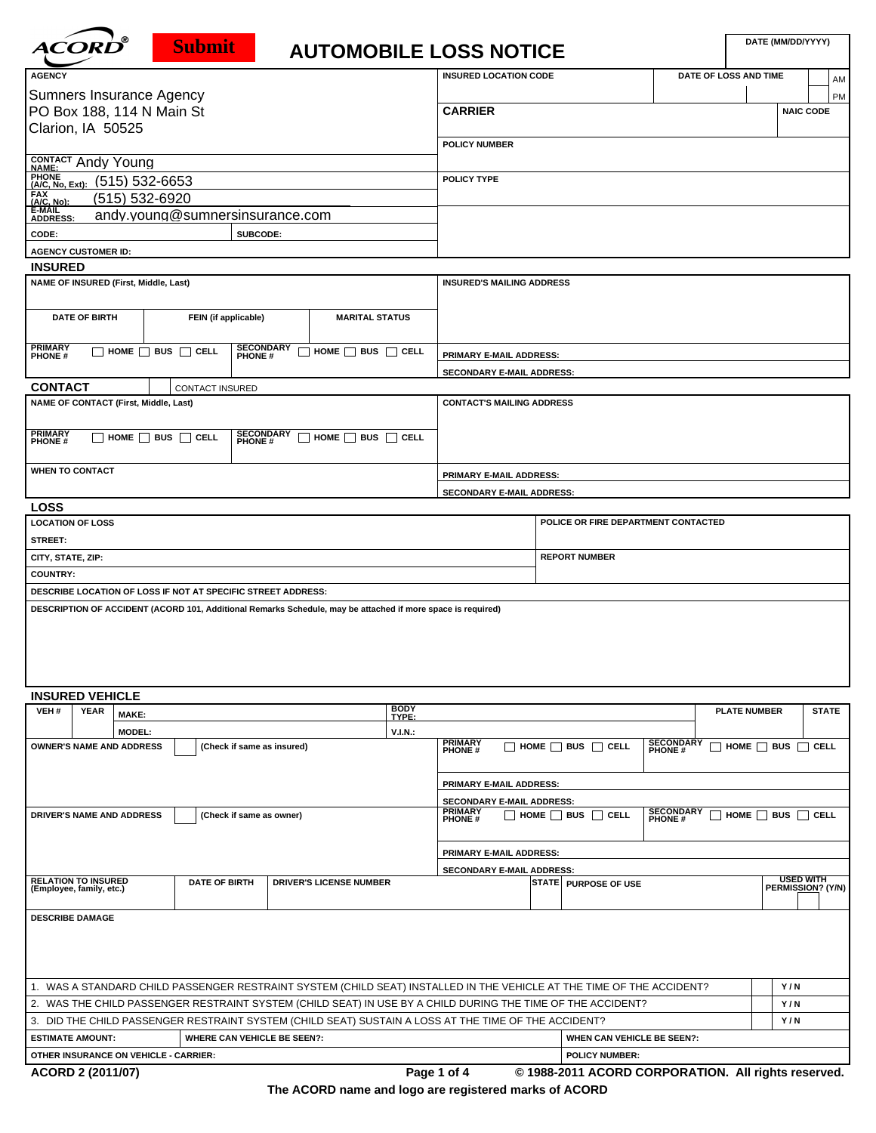| <b>ACORD</b> |  |
|--------------|--|
|              |  |
|              |  |

## **Submit**

## **DATE (MM/DD/YYYY) AUTOMOBILE LOSS NOTICE**

| <b>AGENCY</b>                                                |                                    |          |                                                                                                             | <b>INSURED LOCATION CODE</b>     |                                     | DATE OF LOSS AND TIME | AM               |  |  |  |  |  |
|--------------------------------------------------------------|------------------------------------|----------|-------------------------------------------------------------------------------------------------------------|----------------------------------|-------------------------------------|-----------------------|------------------|--|--|--|--|--|
| <b>Sumners Insurance Agency</b>                              |                                    |          |                                                                                                             |                                  |                                     |                       | PM               |  |  |  |  |  |
| PO Box 188, 114 N Main St                                    |                                    |          |                                                                                                             | <b>CARRIER</b>                   |                                     |                       | <b>NAIC CODE</b> |  |  |  |  |  |
| Clarion, IA 50525                                            |                                    |          |                                                                                                             |                                  |                                     |                       |                  |  |  |  |  |  |
|                                                              |                                    |          |                                                                                                             | <b>POLICY NUMBER</b>             |                                     |                       |                  |  |  |  |  |  |
| CONTACT Andy Young                                           |                                    |          |                                                                                                             |                                  |                                     |                       |                  |  |  |  |  |  |
| PHONE (A/C, No, Ext): (515) 532-6653                         |                                    |          |                                                                                                             | POLICY TYPE                      |                                     |                       |                  |  |  |  |  |  |
| FAX<br>(A/C, No):                                            | (515) 532-6920                     |          |                                                                                                             |                                  |                                     |                       |                  |  |  |  |  |  |
| E-MAIL<br><b>ADDRESS:</b>                                    | andy.young@sumnersinsurance.com    |          |                                                                                                             |                                  |                                     |                       |                  |  |  |  |  |  |
| CODE:                                                        |                                    | SUBCODE: |                                                                                                             |                                  |                                     |                       |                  |  |  |  |  |  |
| <b>AGENCY CUSTOMER ID:</b>                                   |                                    |          |                                                                                                             |                                  |                                     |                       |                  |  |  |  |  |  |
| <b>INSURED</b>                                               |                                    |          |                                                                                                             |                                  |                                     |                       |                  |  |  |  |  |  |
| NAME OF INSURED (First, Middle, Last)                        |                                    |          |                                                                                                             | <b>INSURED'S MAILING ADDRESS</b> |                                     |                       |                  |  |  |  |  |  |
|                                                              |                                    |          |                                                                                                             |                                  |                                     |                       |                  |  |  |  |  |  |
| <b>DATE OF BIRTH</b>                                         | FEIN (if applicable)               |          | <b>MARITAL STATUS</b>                                                                                       |                                  |                                     |                       |                  |  |  |  |  |  |
|                                                              |                                    |          |                                                                                                             |                                  |                                     |                       |                  |  |  |  |  |  |
| <b>PRIMARY</b><br><b>PHONE</b> #                             | $\Box$ HOME $\Box$ BUS $\Box$ CELL |          | SECONDARY HOME BUS CELL<br>PHONE #                                                                          | PRIMARY E-MAIL ADDRESS:          |                                     |                       |                  |  |  |  |  |  |
|                                                              |                                    |          |                                                                                                             | SECONDARY E-MAIL ADDRESS:        |                                     |                       |                  |  |  |  |  |  |
| <b>CONTACT</b>                                               | CONTACT INSURED                    |          |                                                                                                             |                                  |                                     |                       |                  |  |  |  |  |  |
| <b>NAME OF CONTACT (First, Middle, Last)</b>                 |                                    |          |                                                                                                             | <b>CONTACT'S MAILING ADDRESS</b> |                                     |                       |                  |  |  |  |  |  |
|                                                              |                                    |          |                                                                                                             |                                  |                                     |                       |                  |  |  |  |  |  |
| <b>PRIMARY</b><br><b>PHONE</b> #                             | $\Box$ home $\Box$ bus $\Box$ cell |          | SECONDARY HOME BUS CELL<br>PHONE #                                                                          |                                  |                                     |                       |                  |  |  |  |  |  |
|                                                              |                                    |          |                                                                                                             |                                  |                                     |                       |                  |  |  |  |  |  |
| <b>WHEN TO CONTACT</b>                                       |                                    |          |                                                                                                             | PRIMARY E-MAIL ADDRESS:          |                                     |                       |                  |  |  |  |  |  |
|                                                              |                                    |          |                                                                                                             | SECONDARY E-MAIL ADDRESS:        |                                     |                       |                  |  |  |  |  |  |
| <b>LOSS</b>                                                  |                                    |          |                                                                                                             |                                  |                                     |                       |                  |  |  |  |  |  |
| <b>LOCATION OF LOSS</b>                                      |                                    |          |                                                                                                             |                                  | POLICE OR FIRE DEPARTMENT CONTACTED |                       |                  |  |  |  |  |  |
| STREET:                                                      |                                    |          |                                                                                                             |                                  |                                     |                       |                  |  |  |  |  |  |
| CITY, STATE, ZIP:                                            |                                    |          |                                                                                                             | <b>REPORT NUMBER</b>             |                                     |                       |                  |  |  |  |  |  |
| <b>COUNTRY:</b>                                              |                                    |          |                                                                                                             |                                  |                                     |                       |                  |  |  |  |  |  |
| DESCRIBE LOCATION OF LOSS IF NOT AT SPECIFIC STREET ADDRESS: |                                    |          |                                                                                                             |                                  |                                     |                       |                  |  |  |  |  |  |
|                                                              |                                    |          | DESCRIPTION OF ACCIDENT (ACORD 101, Additional Remarks Schedule, may be attached if more space is required) |                                  |                                     |                       |                  |  |  |  |  |  |
|                                                              |                                    |          |                                                                                                             |                                  |                                     |                       |                  |  |  |  |  |  |
|                                                              |                                    |          |                                                                                                             |                                  |                                     |                       |                  |  |  |  |  |  |
|                                                              |                                    |          |                                                                                                             |                                  |                                     |                       |                  |  |  |  |  |  |
|                                                              |                                    |          |                                                                                                             |                                  |                                     |                       |                  |  |  |  |  |  |
|                                                              |                                    |          |                                                                                                             |                                  |                                     |                       |                  |  |  |  |  |  |

|                                                                                                                       | <b>INSURED VEHICLE</b>                                 |               |                      |                                 |                                    |                                    |     |                             |                                   |                        |                 |             |                                       |  |  |
|-----------------------------------------------------------------------------------------------------------------------|--------------------------------------------------------|---------------|----------------------|---------------------------------|------------------------------------|------------------------------------|-----|-----------------------------|-----------------------------------|------------------------|-----------------|-------------|---------------------------------------|--|--|
| VEH#                                                                                                                  | <b>YEAR</b>                                            | MAKE:         |                      | <b>BODY</b><br>TYPE:            |                                    |                                    |     | <b>PLATE NUMBER</b>         |                                   | <b>STATE</b>           |                 |             |                                       |  |  |
|                                                                                                                       |                                                        | <b>MODEL:</b> |                      |                                 | $V.I.N.$ :                         |                                    |     |                             |                                   |                        |                 |             |                                       |  |  |
| <b>OWNER'S NAME AND ADDRESS</b><br>(Check if same as insured)                                                         |                                                        |               |                      |                                 | <b>PRIMARY</b><br><b>PHONE</b> #   | $\Box$ home $\Box$ bus $\Box$ cell |     |                             | <b>SECONDARY</b><br>PHONE #       |                        | HOME $\Box$ BUS | <b>CELL</b> |                                       |  |  |
|                                                                                                                       |                                                        |               |                      |                                 |                                    | <b>PRIMARY E-MAIL ADDRESS:</b>     |     |                             |                                   |                        |                 |             |                                       |  |  |
|                                                                                                                       |                                                        |               |                      |                                 |                                    | <b>SECONDARY E-MAIL ADDRESS:</b>   |     |                             |                                   |                        |                 |             |                                       |  |  |
| <b>DRIVER'S NAME AND ADDRESS</b><br>(Check if same as owner)                                                          |                                                        |               |                      | <b>PRIMARY</b><br><b>PHONE#</b> | $\Box$ home $\Box$ bus $\Box$ cell |                                    |     | <b>SECONDARY</b><br>PHONE # |                                   | HOME $\Box$ BUS $\Box$ | $\sqcap$ cell   |             |                                       |  |  |
|                                                                                                                       |                                                        |               |                      |                                 |                                    | <b>PRIMARY E-MAIL ADDRESS:</b>     |     |                             |                                   |                        |                 |             |                                       |  |  |
|                                                                                                                       |                                                        |               |                      |                                 |                                    | <b>SECONDARY E-MAIL ADDRESS:</b>   |     |                             |                                   |                        |                 |             |                                       |  |  |
|                                                                                                                       | <b>RELATION TO INSURED</b><br>(Employee, family, etc.) |               | <b>DATE OF BIRTH</b> | <b>DRIVER'S LICENSE NUMBER</b>  |                                    |                                    |     |                             | <b>STATE PURPOSE OF USE</b>       |                        |                 |             | <b>USED WITH</b><br>PERMISSION? (Y/N) |  |  |
|                                                                                                                       | <b>DESCRIBE DAMAGE</b>                                 |               |                      |                                 |                                    |                                    |     |                             |                                   |                        |                 |             |                                       |  |  |
| 1. WAS A STANDARD CHILD PASSENGER RESTRAINT SYSTEM (CHILD SEAT) INSTALLED IN THE VEHICLE AT THE TIME OF THE ACCIDENT? |                                                        |               |                      |                                 |                                    |                                    |     | Y/N                         |                                   |                        |                 |             |                                       |  |  |
| 2. WAS THE CHILD PASSENGER RESTRAINT SYSTEM (CHILD SEAT) IN USE BY A CHILD DURING THE TIME OF THE ACCIDENT?           |                                                        |               |                      |                                 |                                    |                                    | Y/N |                             |                                   |                        |                 |             |                                       |  |  |
| 3. DID THE CHILD PASSENGER RESTRAINT SYSTEM (CHILD SEAT) SUSTAIN A LOSS AT THE TIME OF THE ACCIDENT?                  |                                                        |               |                      |                                 |                                    |                                    |     |                             |                                   |                        | Y/N             |             |                                       |  |  |
| <b>ESTIMATE AMOUNT:</b><br><b>WHERE CAN VEHICLE BE SEEN?:</b>                                                         |                                                        |               |                      |                                 |                                    |                                    |     |                             | <b>WHEN CAN VEHICLE BE SEEN?:</b> |                        |                 |             |                                       |  |  |
| <b>OTHER INSURANCE ON VEHICLE - CARRIER:</b>                                                                          |                                                        |               |                      |                                 |                                    |                                    |     | <b>POLICY NUMBER:</b>       |                                   |                        |                 |             |                                       |  |  |
|                                                                                                                       |                                                        |               |                      |                                 |                                    |                                    |     |                             |                                   |                        |                 |             |                                       |  |  |

**ACORD 2 (2011/07) Page 1 of 4 © 1988-2011 ACORD CORPORATION. All rights reserved. The ACORD name and logo are registered marks of ACORD**